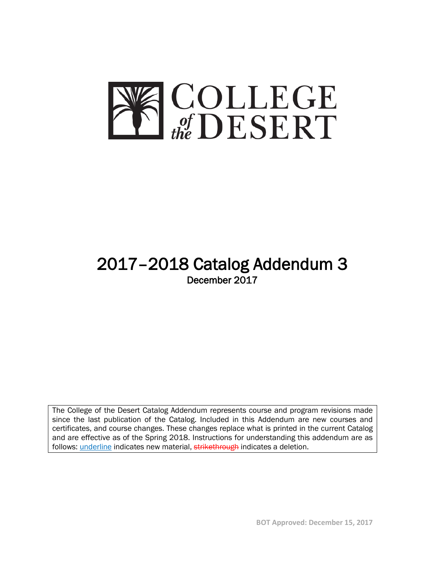

# 2017–2018 Catalog Addendum 3 December 2017

The College of the Desert Catalog Addendum represents course and program revisions made since the last publication of the Catalog. Included in this Addendum are new courses and certificates, and course changes. These changes replace what is printed in the current Catalog and are effective as of the Spring 2018. Instructions for understanding this addendum are as follows: *underline* indicates new material, strikethrough indicates a deletion.

**BOT Approved: December 15, 2017**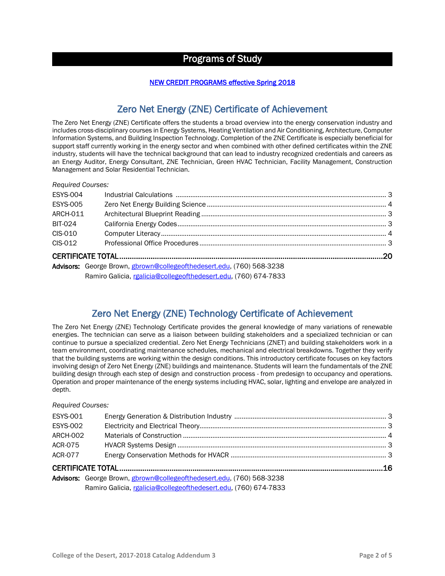## Programs of Study

#### NEW CREDIT PROGRAMS effective Spring 2018

## Zero Net Energy (ZNE) Certificate of Achievement

The Zero Net Energy (ZNE) Certificate offers the students a broad overview into the energy conservation industry and includes cross-disciplinary courses in Energy Systems, Heating Ventilation and Air Conditioning, Architecture, Computer Information Systems, and Building Inspection Technology. Completion of the ZNE Certificate is especially beneficial for support staff currently working in the energy sector and when combined with other defined certificates within the ZNE industry, students will have the technical background that can lead to industry recognized credentials and careers as an Energy Auditor, Energy Consultant, ZNE Technician, Green HVAC Technician, Facility Management, Construction Management and Solar Residential Technician.

| <b>Required Courses:</b> |                                                                       |  |
|--------------------------|-----------------------------------------------------------------------|--|
| <b>ESYS-004</b>          |                                                                       |  |
| <b>ESYS-005</b>          |                                                                       |  |
| ARCH-011                 |                                                                       |  |
| BIT-024                  |                                                                       |  |
| CIS-010                  |                                                                       |  |
| CIS-012                  |                                                                       |  |
|                          |                                                                       |  |
|                          | Advisors: George Brown, gbrown@collegeofthedesert.edu, (760) 568-3238 |  |
|                          | Ramiro Galicia, rgalicia@collegeofthedesert.edu, (760) 674-7833       |  |

## Zero Net Energy (ZNE) Technology Certificate of Achievement

The Zero Net Energy (ZNE) Technology Certificate provides the general knowledge of many variations of renewable energies. The technician can serve as a liaison between building stakeholders and a specialized technician or can continue to pursue a specialized credential. Zero Net Energy Technicians (ZNET) and building stakeholders work in a team environment, coordinating maintenance schedules, mechanical and electrical breakdowns. Together they verify that the building systems are working within the design conditions. This introductory certificate focuses on key factors involving design of Zero Net Energy (ZNE) buildings and maintenance. Students will learn the fundamentals of the ZNE building design through each step of design and construction process - from predesign to occupancy and operations. Operation and proper maintenance of the energy systems including HVAC, solar, lighting and envelope are analyzed in depth.

#### *Required Courses:*

| <b>ESYS-001</b> |                                                                       |  |
|-----------------|-----------------------------------------------------------------------|--|
| <b>ESYS-002</b> |                                                                       |  |
| <b>ARCH-002</b> |                                                                       |  |
| ACR-075         |                                                                       |  |
| ACR-077         |                                                                       |  |
|                 |                                                                       |  |
|                 | Advisors: George Brown, gbrown@collegeofthedesert.edu, (760) 568-3238 |  |
|                 | Ramiro Galicia, rgalicia@collegeofthedesert.edu, (760) 674-7833       |  |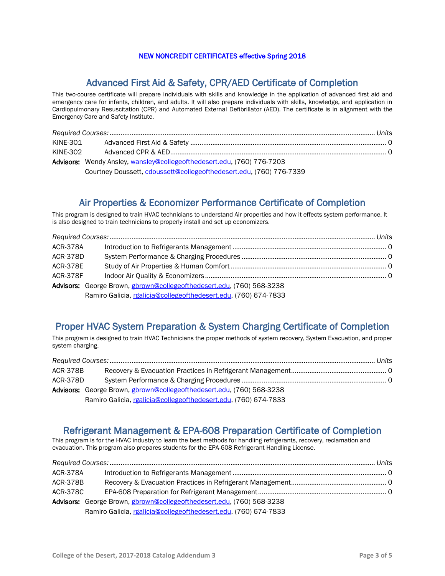#### NEW NONCREDIT CERTIFICATES effective Spring 2018

### Advanced First Aid & Safety, CPR/AED Certificate of Completion

This two-course certificate will prepare individuals with skills and knowledge in the application of advanced first aid and emergency care for infants, children, and adults. It will also prepare individuals with skills, knowledge, and application in Cardiopulmonary Resuscitation (CPR) and Automated External Defibrillator (AED). The certificate is in alignment with the Emergency Care and Safety Institute.

| KINE-301 |                                                                        |  |
|----------|------------------------------------------------------------------------|--|
| KINE-302 |                                                                        |  |
|          | Advisors: Wendy Ansley, wansley@collegeofthedesert.edu, (760) 776-7203 |  |
|          | Courtney Doussett, cdoussett@collegeofthedesert.edu, (760) 776-7339    |  |

#### Air Properties & Economizer Performance Certificate of Completion

This program is designed to train HVAC technicians to understand Air properties and how it effects system performance. It is also designed to train technicians to properly install and set up economizers.

| <b>ACR-378A</b> |                                                                       |  |
|-----------------|-----------------------------------------------------------------------|--|
| <b>ACR-378D</b> |                                                                       |  |
| <b>ACR-378E</b> |                                                                       |  |
| ACR-378F        |                                                                       |  |
|                 | Advisors: George Brown, gbrown@collegeofthedesert.edu, (760) 568-3238 |  |
|                 | Ramiro Galicia, rgalicia@collegeofthedesert.edu, (760) 674-7833       |  |

### Proper HVAC System Preparation & System Charging Certificate of Completion

This program is designed to train HVAC Technicians the proper methods of system recovery, System Evacuation, and proper system charging.

| ACR-378B |                                                                       |  |
|----------|-----------------------------------------------------------------------|--|
| ACR-378D |                                                                       |  |
|          | Advisors: George Brown, gbrown@collegeofthedesert.edu, (760) 568-3238 |  |
|          | Ramiro Galicia, rgalicia@collegeofthedesert.edu, (760) 674-7833       |  |

## Refrigerant Management & EPA-608 Preparation Certificate of Completion<br>This program is for the HVAC industry to learn the best methods for handling refrigerants, recovery, reclamation and

evacuation. This program also prepares students for the EPA-608 Refrigerant Handling License.

| ACR-378A |                                                                       |  |
|----------|-----------------------------------------------------------------------|--|
| ACR-378B |                                                                       |  |
| ACR-378C |                                                                       |  |
|          | Advisors: George Brown, gbrown@collegeofthedesert.edu, (760) 568-3238 |  |
|          | Ramiro Galicia, rgalicia@collegeofthedesert.edu, (760) 674-7833       |  |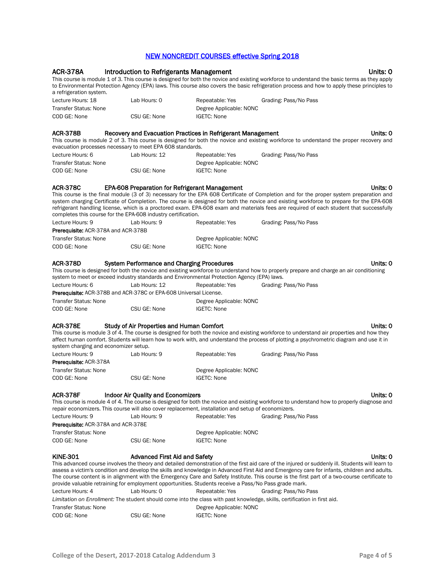#### NEW NONCREDIT COURSES effective Spring 2018

| <b>ACR-378A</b>                                          | <b>Introduction to Refrigerants Management</b>                                                                                                                                                                                                                                             |                         | Units: 0<br>This course is module 1 of 3. This course is designed for both the novice and existing workforce to understand the basic terms as they apply<br>to Environmental Protection Agency (EPA) laws. This course also covers the basic refrigeration process and how to apply these principles to                                                                                                                                                                               |
|----------------------------------------------------------|--------------------------------------------------------------------------------------------------------------------------------------------------------------------------------------------------------------------------------------------------------------------------------------------|-------------------------|---------------------------------------------------------------------------------------------------------------------------------------------------------------------------------------------------------------------------------------------------------------------------------------------------------------------------------------------------------------------------------------------------------------------------------------------------------------------------------------|
| a refrigeration system.                                  |                                                                                                                                                                                                                                                                                            |                         |                                                                                                                                                                                                                                                                                                                                                                                                                                                                                       |
| Lecture Hours: 18                                        | Lab Hours: 0                                                                                                                                                                                                                                                                               | Repeatable: Yes         | Grading: Pass/No Pass                                                                                                                                                                                                                                                                                                                                                                                                                                                                 |
| <b>Transfer Status: None</b>                             | CSU GE: None                                                                                                                                                                                                                                                                               | Degree Applicable: NONC |                                                                                                                                                                                                                                                                                                                                                                                                                                                                                       |
| COD GE: None                                             |                                                                                                                                                                                                                                                                                            | <b>IGETC: None</b>      |                                                                                                                                                                                                                                                                                                                                                                                                                                                                                       |
| <b>ACR-378B</b>                                          | Recovery and Evacuation Practices in Refrigerant Management                                                                                                                                                                                                                                |                         | Units: 0                                                                                                                                                                                                                                                                                                                                                                                                                                                                              |
|                                                          | evacuation processes necessary to meet EPA 608 standards.                                                                                                                                                                                                                                  |                         | This course is module 2 of 3. This course is designed for both the novice and existing workforce to understand the proper recovery and                                                                                                                                                                                                                                                                                                                                                |
| Lecture Hours: 6                                         | Lab Hours: 12                                                                                                                                                                                                                                                                              | Repeatable: Yes         | Grading: Pass/No Pass                                                                                                                                                                                                                                                                                                                                                                                                                                                                 |
| <b>Transfer Status: None</b>                             |                                                                                                                                                                                                                                                                                            | Degree Applicable: NONC |                                                                                                                                                                                                                                                                                                                                                                                                                                                                                       |
| COD GE: None                                             | CSU GE: None                                                                                                                                                                                                                                                                               | <b>IGETC: None</b>      |                                                                                                                                                                                                                                                                                                                                                                                                                                                                                       |
| <b>ACR-378C</b>                                          | <b>EPA-608 Preparation for Refrigerant Management</b><br>completes this course for the EPA-608 industry certification.                                                                                                                                                                     |                         | Units: 0<br>This course is the final module (3 of 3) necessary for the EPA 608 Certificate of Completion and for the proper system preparation and<br>system charging Certificate of Completion. The course is designed for both the novice and existing workforce to prepare for the EPA-608<br>refrigerant handling license, which is a proctored exam. EPA-608 exam and materials fees are required of each student that successfully                                              |
| Lecture Hours: 9<br>Prerequisite: ACR-378A and ACR-378B  | Lab Hours: 9                                                                                                                                                                                                                                                                               | Repeatable: Yes         | Grading: Pass/No Pass                                                                                                                                                                                                                                                                                                                                                                                                                                                                 |
| <b>Transfer Status: None</b>                             |                                                                                                                                                                                                                                                                                            | Degree Applicable: NONC |                                                                                                                                                                                                                                                                                                                                                                                                                                                                                       |
| COD GE: None                                             | CSU GE: None                                                                                                                                                                                                                                                                               | <b>IGETC: None</b>      |                                                                                                                                                                                                                                                                                                                                                                                                                                                                                       |
|                                                          |                                                                                                                                                                                                                                                                                            |                         |                                                                                                                                                                                                                                                                                                                                                                                                                                                                                       |
| <b>ACR-378D</b>                                          | <b>System Performance and Charging Procedures</b><br>system to meet or exceed industry standards and Environmental Protection Agency (EPA) laws.                                                                                                                                           |                         | Units: 0<br>This course is designed for both the novice and existing workforce to understand how to properly prepare and charge an air conditioning                                                                                                                                                                                                                                                                                                                                   |
| Lecture Hours: 6                                         | Lab Hours: 12                                                                                                                                                                                                                                                                              | Repeatable: Yes         | Grading: Pass/No Pass                                                                                                                                                                                                                                                                                                                                                                                                                                                                 |
|                                                          | <b>Prerequisite:</b> ACR-378B and ACR-378C or EPA-608 Universal License.                                                                                                                                                                                                                   |                         |                                                                                                                                                                                                                                                                                                                                                                                                                                                                                       |
| <b>Transfer Status: None</b>                             |                                                                                                                                                                                                                                                                                            | Degree Applicable: NONC |                                                                                                                                                                                                                                                                                                                                                                                                                                                                                       |
| COD GE: None                                             | CSU GE: None                                                                                                                                                                                                                                                                               | <b>IGETC: None</b>      |                                                                                                                                                                                                                                                                                                                                                                                                                                                                                       |
| <b>ACR-378E</b><br>system charging and economizer setup. | <b>Study of Air Properties and Human Comfort</b>                                                                                                                                                                                                                                           |                         | Units: 0<br>This course is module 3 of 4. The course is designed for both the novice and existing workforce to understand air properties and how they<br>affect human comfort. Students will learn how to work with, and understand the process of plotting a psychrometric diagram and use it in                                                                                                                                                                                     |
| Lecture Hours: 9<br>Prerequisite: ACR-378A               | Lab Hours: 9                                                                                                                                                                                                                                                                               | Repeatable: Yes         | Grading: Pass/No Pass                                                                                                                                                                                                                                                                                                                                                                                                                                                                 |
| <b>Transfer Status: None</b>                             |                                                                                                                                                                                                                                                                                            | Degree Applicable: NONC |                                                                                                                                                                                                                                                                                                                                                                                                                                                                                       |
| COD GE: None                                             | CSU GE: None                                                                                                                                                                                                                                                                               | <b>IGETC: None</b>      |                                                                                                                                                                                                                                                                                                                                                                                                                                                                                       |
|                                                          |                                                                                                                                                                                                                                                                                            |                         |                                                                                                                                                                                                                                                                                                                                                                                                                                                                                       |
| <b>ACR-378F</b>                                          | <b>Indoor Air Quality and Economizers</b><br>repair economizers. This course will also cover replacement, installation and setup of economizers.                                                                                                                                           |                         | Units: 0<br>This course is module 4 of 4. The course is designed for both the novice and existing workforce to understand how to properly diagnose and                                                                                                                                                                                                                                                                                                                                |
| Lecture Hours: 9                                         | Lab Hours: 9                                                                                                                                                                                                                                                                               | Repeatable: Yes         | Grading: Pass/No Pass                                                                                                                                                                                                                                                                                                                                                                                                                                                                 |
| <b>Prerequisite: ACR-378A and ACR-378E</b>               |                                                                                                                                                                                                                                                                                            |                         |                                                                                                                                                                                                                                                                                                                                                                                                                                                                                       |
| <b>Transfer Status: None</b>                             |                                                                                                                                                                                                                                                                                            | Degree Applicable: NONC |                                                                                                                                                                                                                                                                                                                                                                                                                                                                                       |
| COD GE: None                                             | CSU GE: None                                                                                                                                                                                                                                                                               | <b>IGETC: None</b>      |                                                                                                                                                                                                                                                                                                                                                                                                                                                                                       |
| <b>KINE-301</b><br>Lecture Hours: 4                      | <b>Advanced First Aid and Safety</b><br>provide valuable retraining for employment opportunities. Students receive a Pass/No Pass grade mark.<br>Lab Hours: 0<br>Limitation on Enrollment: The student should come into the class with past knowledge, skills, certification in first aid. | Repeatable: Yes         | Units: 0<br>This advanced course involves the theory and detailed demonstration of the first aid care of the injured or suddenly ill. Students will learn to<br>assess a victim's condition and develop the skills and knowledge in Advanced First Aid and Emergency care for infants, children and adults.<br>The course content is in alignment with the Emergency Care and Safety Institute. This course is the first part of a two-course certificate to<br>Grading: Pass/No Pass |
| <b>Transfer Status: None</b>                             |                                                                                                                                                                                                                                                                                            | Degree Applicable: NONC |                                                                                                                                                                                                                                                                                                                                                                                                                                                                                       |